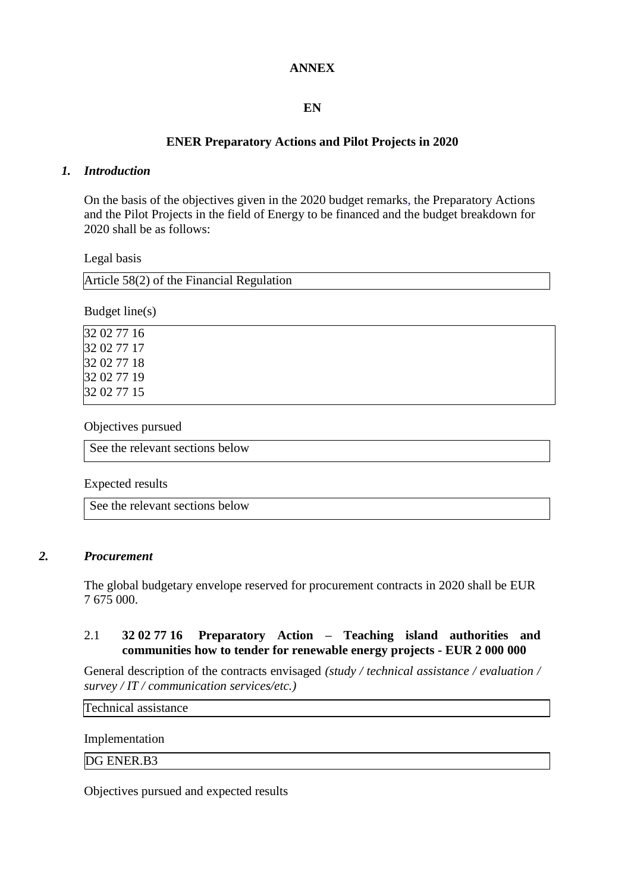### **ANNEX**

# **EN**

# **ENER Preparatory Actions and Pilot Projects in 2020**

#### *1. Introduction*

On the basis of the objectives given in the 2020 budget remarks, the Preparatory Actions and the Pilot Projects in the field of Energy to be financed and the budget breakdown for 2020 shall be as follows:

Legal basis

| Article $58(2)$ of the Financial Regulation |
|---------------------------------------------|
|                                             |

Budget line(s)

Objectives pursued

See the relevant sections below

Expected results

See the relevant sections below

#### *2. Procurement*

The global budgetary envelope reserved for procurement contracts in 2020 shall be EUR 7 675 000.

### 2.1 **32 02 77 16 Preparatory Action – Teaching island authorities and communities how to tender for renewable energy projects - EUR 2 000 000**

General description of the contracts envisaged *(study / technical assistance / evaluation / survey / IT / communication services/etc.)*

Technical assistance

Implementation

DG ENER.B3

Objectives pursued and expected results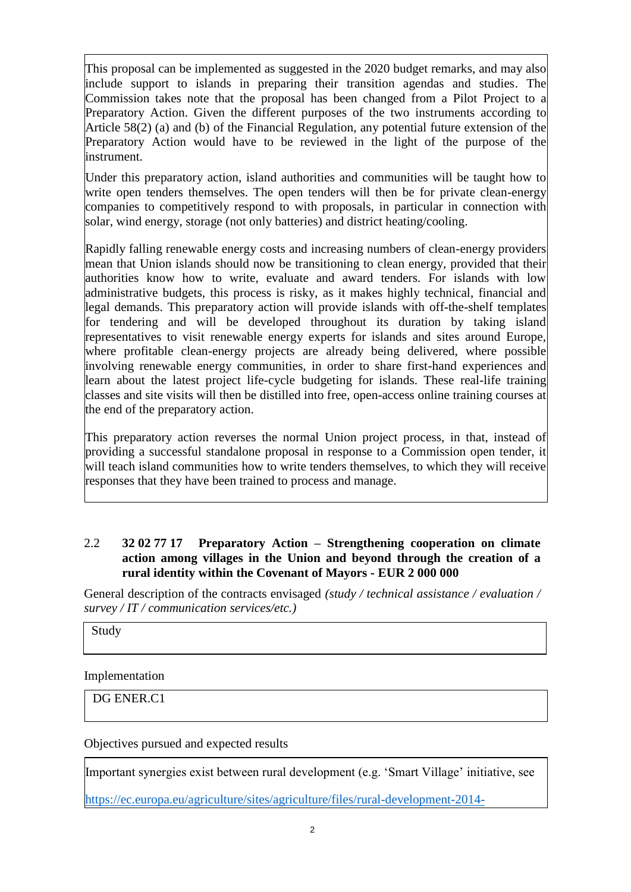This proposal can be implemented as suggested in the 2020 budget remarks, and may also include support to islands in preparing their transition agendas and studies. The Commission takes note that the proposal has been changed from a Pilot Project to a Preparatory Action. Given the different purposes of the two instruments according to Article 58(2) (a) and (b) of the Financial Regulation, any potential future extension of the Preparatory Action would have to be reviewed in the light of the purpose of the instrument.

Under this preparatory action, island authorities and communities will be taught how to write open tenders themselves. The open tenders will then be for private clean-energy companies to competitively respond to with proposals, in particular in connection with solar, wind energy, storage (not only batteries) and district heating/cooling.

Rapidly falling renewable energy costs and increasing numbers of clean-energy providers mean that Union islands should now be transitioning to clean energy, provided that their authorities know how to write, evaluate and award tenders. For islands with low administrative budgets, this process is risky, as it makes highly technical, financial and legal demands. This preparatory action will provide islands with off-the-shelf templates for tendering and will be developed throughout its duration by taking island representatives to visit renewable energy experts for islands and sites around Europe, where profitable clean-energy projects are already being delivered, where possible involving renewable energy communities, in order to share first-hand experiences and learn about the latest project life-cycle budgeting for islands. These real-life training classes and site visits will then be distilled into free, open-access online training courses at the end of the preparatory action.

This preparatory action reverses the normal Union project process, in that, instead of providing a successful standalone proposal in response to a Commission open tender, it will teach island communities how to write tenders themselves, to which they will receive responses that they have been trained to process and manage.

## 2.2 **32 02 77 17 Preparatory Action – Strengthening cooperation on climate action among villages in the Union and beyond through the creation of a rural identity within the Covenant of Mayors - EUR 2 000 000**

General description of the contracts envisaged *(study / technical assistance / evaluation / survey / IT / communication services/etc.)*

Study

Implementation

DG ENER.C1

Objectives pursued and expected results

Important synergies exist between rural development (e.g. 'Smart Village' initiative, see

[https://ec.europa.eu/agriculture/sites/agriculture/files/rural-development-2014-](https://ec.europa.eu/agriculture/sites/agriculture/files/rural-development-2014-2020/looking-ahead/rur-dev-small-villages_en.pdf)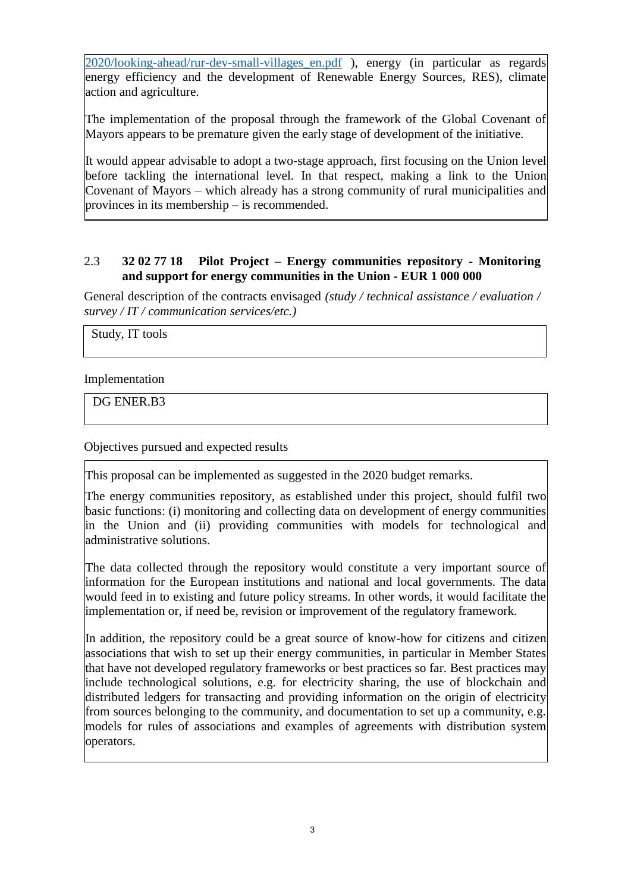[2020/looking-ahead/rur-dev-small-villages\\_en.pdf](https://ec.europa.eu/agriculture/sites/agriculture/files/rural-development-2014-2020/looking-ahead/rur-dev-small-villages_en.pdf) ), energy (in particular as regards energy efficiency and the development of Renewable Energy Sources, RES), climate action and agriculture.

The implementation of the proposal through the framework of the Global Covenant of Mayors appears to be premature given the early stage of development of the initiative.

It would appear advisable to adopt a two-stage approach, first focusing on the Union level before tackling the international level. In that respect, making a link to the Union Covenant of Mayors – which already has a strong community of rural municipalities and provinces in its membership – is recommended.

## 2.3 **32 02 77 18 Pilot Project – Energy communities repository - Monitoring and support for energy communities in the Union - EUR 1 000 000**

General description of the contracts envisaged *(study / technical assistance / evaluation / survey / IT / communication services/etc.)*

Study, IT tools

Implementation

DG ENER.B3

Objectives pursued and expected results

This proposal can be implemented as suggested in the 2020 budget remarks.

The energy communities repository, as established under this project, should fulfil two basic functions: (i) monitoring and collecting data on development of energy communities in the Union and (ii) providing communities with models for technological and administrative solutions.

The data collected through the repository would constitute a very important source of information for the European institutions and national and local governments. The data would feed in to existing and future policy streams. In other words, it would facilitate the implementation or, if need be, revision or improvement of the regulatory framework.

In addition, the repository could be a great source of know-how for citizens and citizen associations that wish to set up their energy communities, in particular in Member States that have not developed regulatory frameworks or best practices so far. Best practices may include technological solutions, e.g. for electricity sharing, the use of blockchain and distributed ledgers for transacting and providing information on the origin of electricity from sources belonging to the community, and documentation to set up a community, e.g. models for rules of associations and examples of agreements with distribution system operators.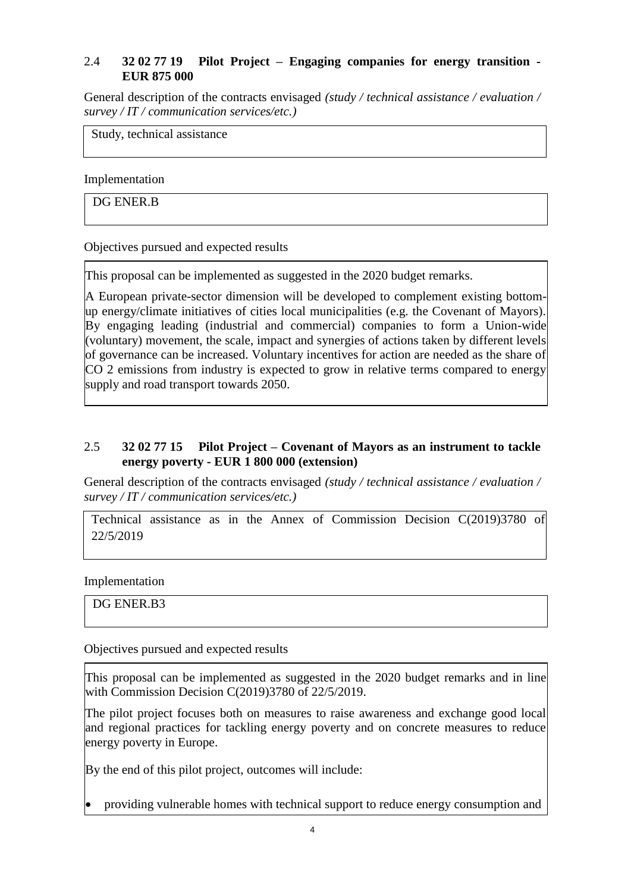# 2.4 **32 02 77 19 Pilot Project – Engaging companies for energy transition - EUR 875 000**

General description of the contracts envisaged *(study / technical assistance / evaluation / survey / IT / communication services/etc.)*

Study, technical assistance

Implementation

DG ENER.B

Objectives pursued and expected results

This proposal can be implemented as suggested in the 2020 budget remarks.

A European private-sector dimension will be developed to complement existing bottomup energy/climate initiatives of cities local municipalities (e.g. the Covenant of Mayors). By engaging leading (industrial and commercial) companies to form a Union-wide (voluntary) movement, the scale, impact and synergies of actions taken by different levels of governance can be increased. Voluntary incentives for action are needed as the share of CO 2 emissions from industry is expected to grow in relative terms compared to energy supply and road transport towards 2050.

## 2.5 **32 02 77 15 Pilot Project – Covenant of Mayors as an instrument to tackle energy poverty - EUR 1 800 000 (extension)**

General description of the contracts envisaged *(study / technical assistance / evaluation / survey / IT / communication services/etc.)*

Technical assistance as in the Annex of Commission Decision C(2019)3780 of 22/5/2019

Implementation

DG ENER.B3

Objectives pursued and expected results

This proposal can be implemented as suggested in the 2020 budget remarks and in line with Commission Decision C(2019)3780 of 22/5/2019.

The pilot project focuses both on measures to raise awareness and exchange good local and regional practices for tackling energy poverty and on concrete measures to reduce energy poverty in Europe.

By the end of this pilot project, outcomes will include:

providing vulnerable homes with technical support to reduce energy consumption and